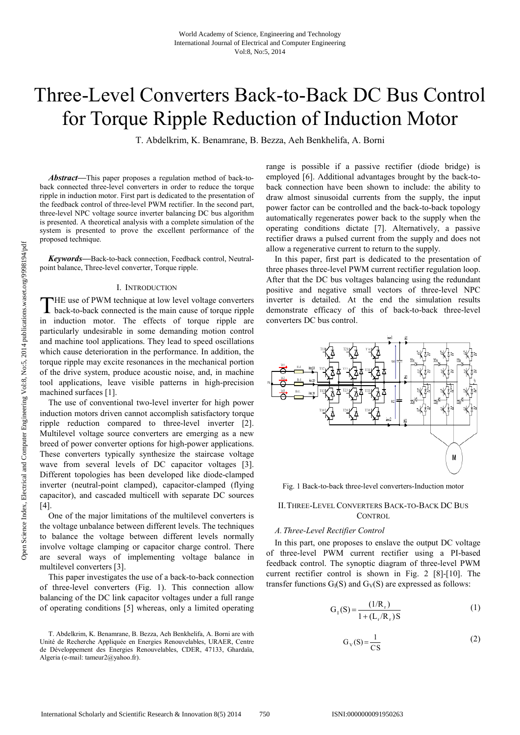# Three-Level Converters Back-to-Back DC Bus Control for Torque Ripple Reduction of Induction Motor

T. Abdelkrim, K. Benamrane, B. Bezza, Aeh Benkhelifa, A. Borni

*Abstract***—**This paper proposes a regulation method of back-toback connected three-level converters in order to reduce the torque ripple in induction motor. First part is dedicated to the presentation of the feedback control of three-level PWM rectifier. In the second part, three-level NPC voltage source inverter balancing DC bus algorithm is presented. A theoretical analysis with a complete simulation of the system is presented to prove the excellent performance of the proposed technique.

*Keywords***—**Back-to-back connection, Feedback control, Neutralpoint balance, Three-level converter, Torque ripple.

## I. INTRODUCTION

HE use of PWM technique at low level voltage converters back-to-back connected is the main cause of torque ripple THE use of PWM technique at low level voltage converters<br>back-to-back connected is the main cause of torque ripple<br>in induction motor. The effects of torque ripple are particularly undesirable in some demanding motion control and machine tool applications. They lead to speed oscillations which cause deterioration in the performance. In addition, the torque ripple may excite resonances in the mechanical portion of the drive system, produce acoustic noise, and, in machine tool applications, leave visible patterns in high-precision machined surfaces [1].

The use of conventional two-level inverter for high power induction motors driven cannot accomplish satisfactory torque ripple reduction compared to three-level inverter [2]. Multilevel voltage source converters are emerging as a new breed of power converter options for high-power applications. These converters typically synthesize the staircase voltage wave from several levels of DC capacitor voltages [3]. Different topologies has been developed like diode-clamped inverter (neutral-point clamped), capacitor-clamped (flying capacitor), and cascaded multicell with separate DC sources [4].

One of the major limitations of the multilevel converters is the voltage unbalance between different levels. The techniques to balance the voltage between different levels normally involve voltage clamping or capacitor charge control. There are several ways of implementing voltage balance in multilevel converters [3].

This paper investigates the use of a back-to-back connection of three-level converters (Fig. 1). This connection allow balancing of the DC link capacitor voltages under a full range of operating conditions [5] whereas, only a limited operating

range is possible if a passive rectifier (diode bridge) is employed [6]. Additional advantages brought by the back-toback connection have been shown to include: the ability to draw almost sinusoidal currents from the supply, the input power factor can be controlled and the back-to-back topology automatically regenerates power back to the supply when the operating conditions dictate [7]. Alternatively, a passive rectifier draws a pulsed current from the supply and does not allow a regenerative current to return to the supply.

In this paper, first part is dedicated to the presentation of three phases three-level PWM current rectifier regulation loop. After that the DC bus voltages balancing using the redundant positive and negative small vectors of three-level NPC inverter is detailed. At the end the simulation results demonstrate efficacy of this of back-to-back three-level converters DC bus control.



Fig. 1 Back-to-back three-level converters-Induction motor

## II.THREE-LEVEL CONVERTERS BACK-TO-BACK DC BUS CONTROL

# *A. Three-Level Rectifier Control*

In this part, one proposes to enslave the output DC voltage of three-level PWM current rectifier using a PI-based feedback control. The synoptic diagram of three-level PWM current rectifier control is shown in Fig. 2 [8]-[10]. The transfer functions  $G_I(S)$  and  $G_V(S)$  are expressed as follows:

$$
G_1(S) = \frac{(1/R_r)}{1 + (L_r/R_r)S}
$$
 (1)

$$
G_V(S) = \frac{1}{CS}
$$
 (2)

T. Abdelkrim, K. Benamrane, B. Bezza, Aeh Benkhelifa, A. Borni are with Unité de Recherche Appliquée en Energies Renouvelables, URAER, Centre de Développement des Energies Renouvelables, CDER, 47133, Ghardaïa, Algeria (e-mail: tameur2@yahoo.fr).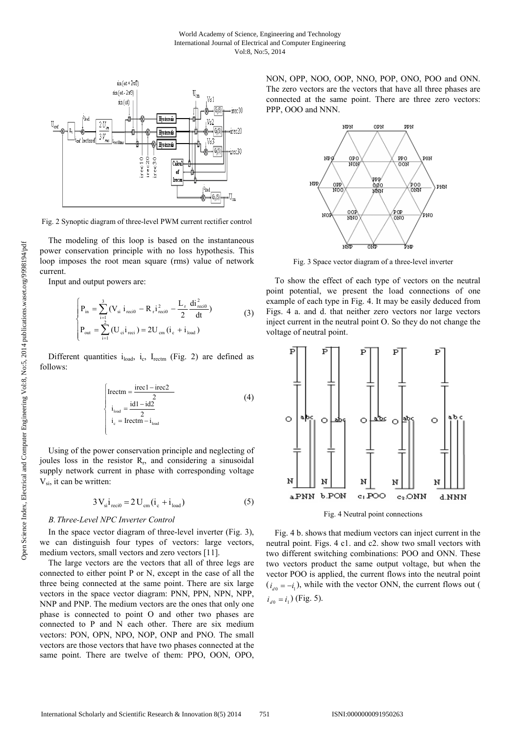

Fig. 2 Synoptic diagram of three-level PWM current rectifier control

The modeling of this loop is based on the instantaneous power conservation principle with no loss hypothesis. This loop imposes the root mean square (rms) value of network current.

Input and output powers are:

$$
\begin{cases}\nP_{\text{in}} = \sum_{i=1}^{3} \left( V_{\text{si}} \, i_{\text{reci0}} - R_{r} i_{\text{reci0}}^{2} - \frac{L_{r}}{2} \frac{di_{\text{reci0}}^{2}}{dt} \right) \\
P_{\text{out}} = \sum_{i=1}^{2} \left( U_{\text{ci}} i_{\text{reci}} \right) = 2U_{\text{cm}} \left( i_{\text{c}} + i_{\text{load}} \right)\n\end{cases} \tag{3}
$$

Different quantities  $i_{load}$ ,  $i_c$ ,  $I_{rectm}$  (Fig. 2) are defined as follows:

$$
\begin{cases}\n\text{Irectm} = \frac{\text{irecl} - \text{irec2}}{2} \\
i_{\text{load}} = \frac{\text{id1} - \text{id2}}{2} \\
i_{\text{c}} = \text{Irectm} - i_{\text{load}}\n\end{cases} (4)
$$

Using of the power conservation principle and neglecting of joules loss in the resistor  $R_r$ , and considering a sinusoidal supply network current in phase with corresponding voltage  $V_{si}$ , it can be written:

$$
3V_{si}i_{reci0} = 2U_{cm}(i_c + i_{load})
$$
 (5)

# *B. Three-Level NPC Inverter Control*

In the space vector diagram of three-level inverter (Fig. 3), we can distinguish four types of vectors: large vectors, medium vectors, small vectors and zero vectors [11].

The large vectors are the vectors that all of three legs are connected to either point P or N, except in the case of all the three being connected at the same point. There are six large vectors in the space vector diagram: PNN, PPN, NPN, NPP, NNP and PNP. The medium vectors are the ones that only one phase is connected to point O and other two phases are connected to P and N each other. There are six medium vectors: PON, OPN, NPO, NOP, ONP and PNO. The small vectors are those vectors that have two phases connected at the same point. There are twelve of them: PPO, OON, OPO, NON, OPP, NOO, OOP, NNO, POP, ONO, POO and ONN. The zero vectors are the vectors that have all three phases are connected at the same point. There are three zero vectors: PPP, OOO and NNN.



Fig. 3 Space vector diagram of a three-level inverter

To show the effect of each type of vectors on the neutral point potential, we present the load connections of one example of each type in Fig. 4. It may be easily deduced from Figs. 4 a. and d. that neither zero vectors nor large vectors inject current in the neutral point O. So they do not change the voltage of neutral point.



Fig. 4 Neutral point connections

Fig. 4 b. shows that medium vectors can inject current in the neutral point. Figs. 4 c1. and c2. show two small vectors with two different switching combinations: POO and ONN. These two vectors product the same output voltage, but when the vector POO is applied, the current flows into the neutral point  $(i_{d0} = -i_1)$ , while with the vector ONN, the current flows out (  $i_{d0} = i_1$ ) (Fig. 5).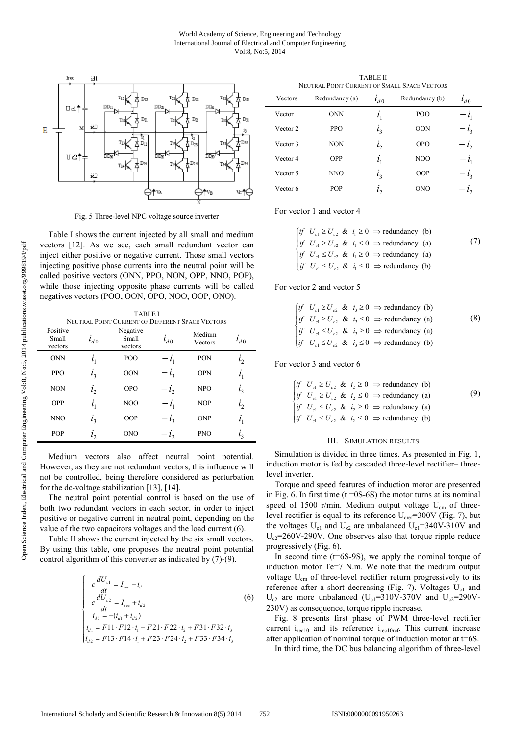

Fig. 5 Three-level NPC voltage source inverter

Table I shows the current injected by all small and medium vectors [12]. As we see, each small redundant vector can inject either positive or negative current. Those small vectors injecting positive phase currents into the neutral point will be called positive vectors (ONN, PPO, NON, OPP, NNO, POP), while those injecting opposite phase currents will be called negatives vectors (POO, OON, OPO, NOO, OOP, ONO).

TABLE I NEUTRAL POINT CURRENT OF DIFFERENT SPACE VECTORS

| 11LU                         |                |                              |          |                   |                |
|------------------------------|----------------|------------------------------|----------|-------------------|----------------|
| Positive<br>Small<br>vectors | $l_{d0}$       | Negative<br>Small<br>vectors | $i_{d0}$ | Medium<br>Vectors | $l_{d0}$       |
| <b>ONN</b>                   | i <sub>1</sub> | POO                          | $-l_1$   | <b>PON</b>        | i <sub>2</sub> |
| <b>PPO</b>                   | $i_3$          | <b>OON</b>                   | $-i_{3}$ | <b>OPN</b>        | i <sub>1</sub> |
| <b>NON</b>                   | i <sub>2</sub> | <b>OPO</b>                   | $-i2$    | <b>NPO</b>        | $i_3$          |
| <b>OPP</b>                   | i <sub>1</sub> | N <sub>O</sub> O             | $-i_1$   | <b>NOP</b>        | i <sub>2</sub> |
| NNO                          | $i_3$          | OOP                          | $-i_{3}$ | <b>ONP</b>        | $i_{1}$        |
| <b>POP</b>                   | $l_{2}$        | <b>ONO</b>                   | $-l2$    | <b>PNO</b>        | $i_{3}$        |

Medium vectors also affect neutral point potential. However, as they are not redundant vectors, this influence will not be controlled, being therefore considered as perturbation for the dc-voltage stabilization [13], [14].

The neutral point potential control is based on the use of both two redundant vectors in each sector, in order to inject positive or negative current in neutral point, depending on the value of the two capacitors voltages and the load current (6).

Table II shows the current injected by the six small vectors. By using this table, one proposes the neutral point potential control algorithm of this converter as indicated by (7)-(9).

$$
\begin{cases}\nc\frac{dU_{c1}}{dt} = I_{rec} - i_{d1} \\
c\frac{dU_{c2}}{dt} = I_{rec} + i_{d2} \\
i_{d0} = -(i_{d1} + i_{d2})\n\end{cases}
$$
\n(6)  
\n
$$
i_{d1} = F11 \cdot F12 \cdot i_1 + F21 \cdot F22 \cdot i_2 + F31 \cdot F32 \cdot i_3
$$
\n
$$
i_{d2} = F13 \cdot F14 \cdot i_1 + F23 \cdot F24 \cdot i_2 + F33 \cdot F34 \cdot i_3
$$

TABLE II

| NEUTRAL POINT CURRENT OF SMALL SPACE VECTORS |                |              |                  |          |  |  |  |
|----------------------------------------------|----------------|--------------|------------------|----------|--|--|--|
| Vectors                                      | Redundancy (a) | $l_{d0}$     | Redundancy (b)   | $l_{d0}$ |  |  |  |
| Vector 1                                     | <b>ONN</b>     | $l_1$        | POO              | $-l_1$   |  |  |  |
| Vector 2                                     | <b>PPO</b>     | $l_3$        | <b>OON</b>       | $-i_{3}$ |  |  |  |
| Vector 3                                     | <b>NON</b>     | $l_2$        | <b>OPO</b>       | $-i2$    |  |  |  |
| Vector 4                                     | <b>OPP</b>     | $i_{1}$      | N <sub>O</sub> O | $-i1$    |  |  |  |
| Vector 5                                     | NNO            | $l_3$        | OOP              | $-i_{3}$ |  |  |  |
| Vector 6                                     | <b>POP</b>     | $l_{\gamma}$ | <b>ONO</b>       | $-l2$    |  |  |  |

For vector 1 and vector 4

| $\int$ $if$ $U_{c1} \ge U_{c2}$ & $i_1 \ge 0$ $\Rightarrow$ redundancy (b)           |     |
|--------------------------------------------------------------------------------------|-----|
| $\begin{vmatrix} if & U_{c1} \ge U_{c2} & \& & i_1 \le 0 \Rightarrow$ redundancy (a) | (7) |
| $\int_{c}^{c}$ if $U_{c1} \leq U_{c2}$ & $i_1 \geq 0$ $\Rightarrow$ redundancy (a)   |     |
| $if U_{c1} \leq U_{c2} \& i_1 \leq 0 \Rightarrow$ redundancy (b)                     |     |

## For vector 2 and vector 5

|  | $\begin{cases} if \quad U_{c1} \ge U_{c2} \quad & \text{if} \quad i_3 \ge 0 \implies \text{redundancy (b)} \end{cases}$                                                                                                          |     |
|--|----------------------------------------------------------------------------------------------------------------------------------------------------------------------------------------------------------------------------------|-----|
|  | <i>if</i> $U_{c1} \ge U_{c2}$ & $i_3 \le 0$ $\Rightarrow$ redundancy (a)<br><i>if</i> $U_{c1} \le U_{c2}$ & $i_3 \ge 0$ $\Rightarrow$ redundancy (a)<br><i>if</i> $U_{c1} \le U_{c2}$ & $i_3 \le 0$ $\Rightarrow$ redundancy (b) | (8) |
|  |                                                                                                                                                                                                                                  |     |
|  |                                                                                                                                                                                                                                  |     |

For vector 3 and vector 6

\n
$$
\begin{cases}\n \text{if } U_{c1} \geq U_{c2} \& i_2 \geq 0 \implies \text{redundancy (b)} \\
 \text{if } U_{c1} \geq U_{c2} \& i_2 \leq 0 \implies \text{redundancy (a)} \\
 \text{if } U_{c1} \leq U_{c2} \& i_2 \geq 0 \implies \text{redundancy (a)} \\
 \text{if } U_{c1} \leq U_{c2} \& i_2 \leq 0 \implies \text{redundancy (b)}\n \end{cases}
$$
\n

#### III. SIMULATION RESULTS

Simulation is divided in three times. As presented in Fig. 1, induction motor is fed by cascaded three-level rectifier– threelevel inverter.

Torque and speed features of induction motor are presented in Fig. 6. In first time  $(t = 0S-6S)$  the motor turns at its nominal speed of 1500 r/min. Medium output voltage  $U_{cm}$  of threelevel rectifier is equal to its reference  $U_{\text{cref}}$ =300V (Fig. 7), but the voltages  $U_{c1}$  and  $U_{c2}$  are unbalanced  $U_{c1}$ =340V-310V and  $U_{c2}$ =260V-290V. One observes also that torque ripple reduce progressively (Fig. 6).

In second time (t=6S-9S), we apply the nominal torque of induction motor Te=7 N.m. We note that the medium output voltage U<sub>cm</sub> of three-level rectifier return progressively to its reference after a short decreasing (Fig. 7). Voltages  $U_{c1}$  and  $U_{c2}$  are more unbalanced (U<sub>c1</sub>=310V-370V and U<sub>c2</sub>=290V-230V) as consequence, torque ripple increase.

Fig. 8 presents first phase of PWM three-level rectifier current  $i_{\text{rec10}}$  and its reference  $i_{\text{rec10ref}}$ . This current increase after application of nominal torque of induction motor at t=6S. In third time, the DC bus balancing algorithm of three-level

International Scholarly and Scientific Research & Innovation 8(5) 2014 752 ISNI:0000000091950263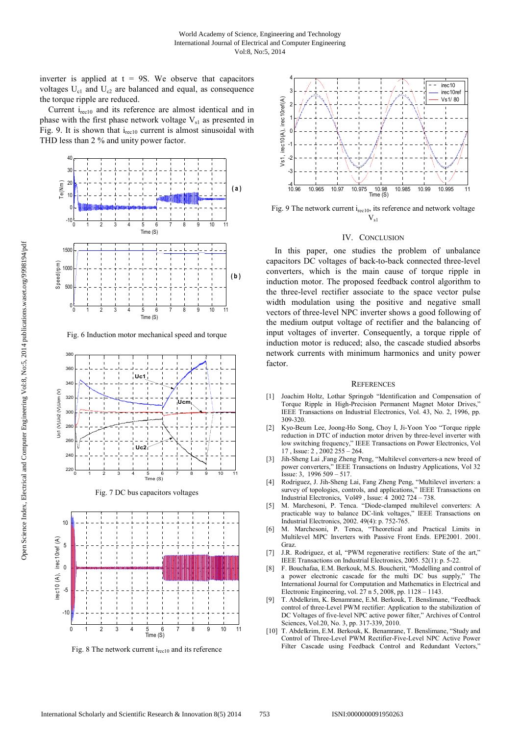inverter is applied at  $t = 9S$ . We observe that capacitors voltages  $U_{c1}$  and  $U_{c2}$  are balanced and equal, as consequence the torque ripple are reduced.

Current  $i_{\text{rec10}}$  and its reference are almost identical and in phase with the first phase network voltage  $V_{s1}$  as presented in Fig. 9. It is shown that  $i_{\text{rec10}}$  current is almost sinusoidal with THD less than 2 % and unity power factor.



Fig. 6 Induction motor mechanical speed and torque



Fig. 7 DC bus capacitors voltages



Fig. 8 The network current  $i_{rec10}$  and its reference



Fig. 9 The network current i<sub>rec10</sub>, its reference and network voltage  $V_{s1}$ 

#### IV. CONCLUSION

In this paper, one studies the problem of unbalance capacitors DC voltages of back-to-back connected three-level converters, which is the main cause of torque ripple in induction motor. The proposed feedback control algorithm to the three-level rectifier associate to the space vector pulse width modulation using the positive and negative small vectors of three-level NPC inverter shows a good following of the medium output voltage of rectifier and the balancing of input voltages of inverter. Consequently, a torque ripple of induction motor is reduced; also, the cascade studied absorbs network currents with minimum harmonics and unity power factor.

#### **REFERENCES**

- [1] Joachim Holtz, Lothar Springob "Identification and Compensation of Torque Ripple in High-Precision Permanent Magnet Motor Drives," IEEE Transactions on Industrial Electronics, Vol. 43, No. 2, 1996, pp. 309-320.
- [2] Kyo-Beum Lee, Joong-Ho Song, Choy I, Ji-Yoon Yoo "Torque ripple reduction in DTC of induction motor driven by three-level inverter with low switching frequency," IEEE Transactions on Power Electronics, Vol 17 , Issue: 2 , 2002 255 – 264.
- [3] Jih-Sheng Lai ,Fang Zheng Peng, "Multilevel converters-a new breed of power converters," IEEE Transactions on Industry Applications, Vol 32 Issue: 3, 1996 509 – 517.
- [4] Rodriguez, J. Jih-Sheng Lai, Fang Zheng Peng, "Multilevel inverters: a survey of topologies, controls, and applications," IEEE Transactions on Industrial Electronics, Vol49 , Issue: 4 2002 724 – 738.
- [5] M. Marchesoni, P. Tenca. "Diode-clamped multilevel converters: A practicable way to balance DC-link voltages," IEEE Transactions on Industrial Electronics, 2002. 49(4): p. 752-765.<br>M. Marchesoni, P. Tenca, "Theoretical a
- [6] M. Marchesoni, P. Tenca, "Theoretical and Practical Limits in Multilevel MPC Inverters with Passive Front Ends. EPE2001. 2001. Graz.
- [7] J.R. Rodriguez, et al, "PWM regenerative rectifiers: State of the art," IEEE Transactions on Industrial Electronics, 2005. 52(1): p. 5-22.
- [8] F. Bouchafaa, E.M. Berkouk, M.S. Boucherit, "Modelling and control of a power electronic cascade for the multi DC bus supply," The International Journal for Computation and Mathematics in Electrical and Electronic Engineering, vol. 27 n 5, 2008, pp. 1128 – 1143.
- [9] T. Abdelkrim, K. Benamrane, E.M. Berkouk, T. Benslimane, "Feedback control of three-Level PWM rectifier: Application to the stabilization of DC Voltages of five-level NPC active power filter," Archives of Control Sciences, Vol.20, No. 3, pp. 317-339, 2010.
- [10] T. Abdelkrim, E.M. Berkouk, K. Benamrane, T. Benslimane, "Study and Control of Three-Level PWM Rectifier-Five-Level NPC Active Power Filter Cascade using Feedback Control and Redundant Vectors,'